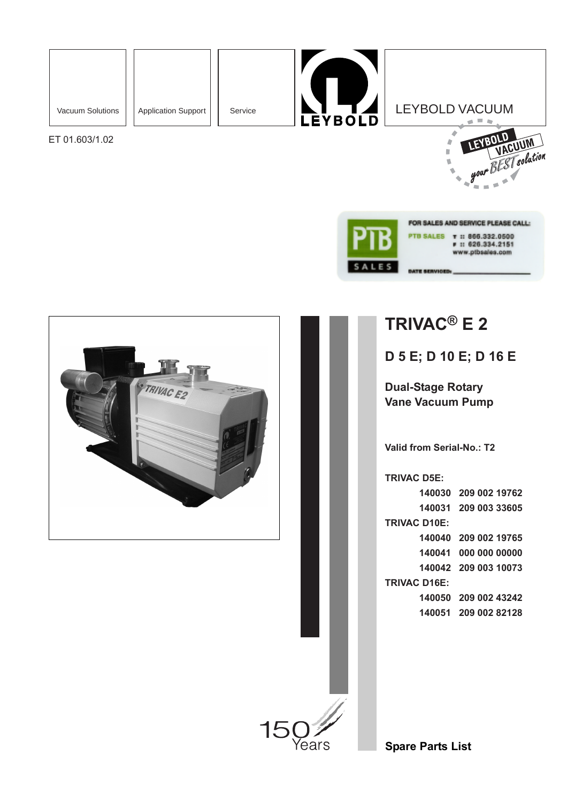

ET 01.603/1.02





FOR SALES AND SERVICE PLEASE CALL: PTB SALES T II 866.332.0500 ■ 11 626.334.2151 www.ptbsales.com



**TRIVAC® E 2**

**TE SERVICED** 

**D 5 E; D 10 E; D 16 E**

**Dual-Stage Rotary Vane Vacuum Pump**

**Valid from Serial-No.: T2**

**TRIVAC D5E:**

**140030 209 002 19762 140031 209 003 33605 TRIVAC D10E: 140040 209 002 19765 140041 000 000 00000 140042 209 003 10073 TRIVAC D16E: 140050 209 002 43242 140051 209 002 82128**

**Spare Parts List**

Years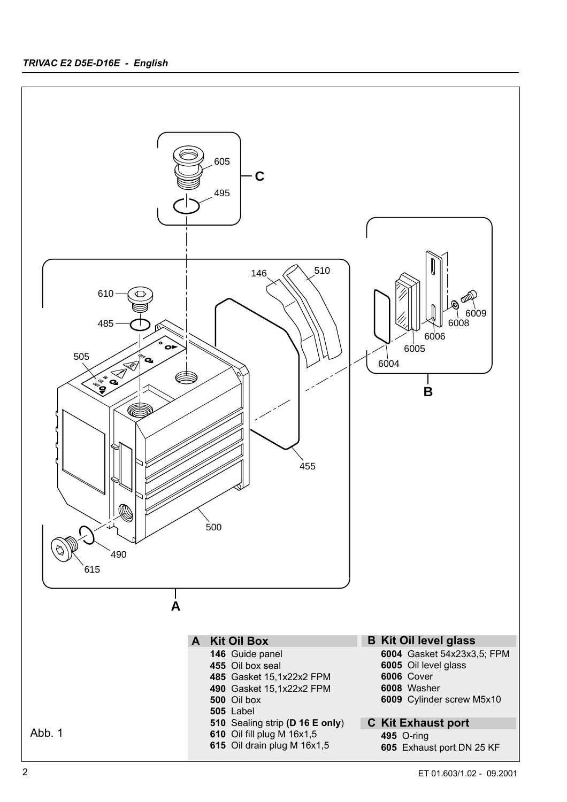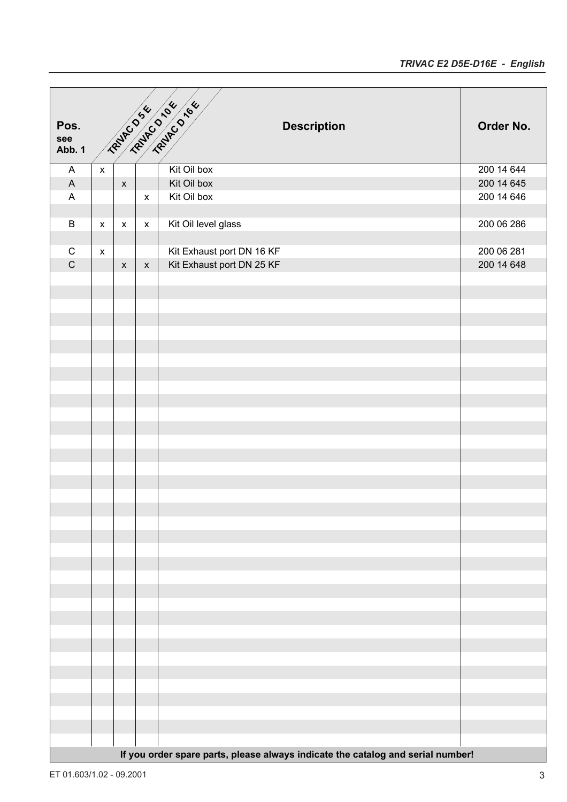| Pos.<br>see                    |                    |                    |                    | <b>Description</b>                                                              | Order No.                |
|--------------------------------|--------------------|--------------------|--------------------|---------------------------------------------------------------------------------|--------------------------|
| Abb. 1                         |                    |                    |                    |                                                                                 |                          |
| $\mathsf{A}$                   |                    |                    |                    | Kit Oil box                                                                     | 200 14 644               |
| $\boldsymbol{\mathsf{A}}$<br>A |                    | $\pmb{\mathsf{x}}$ | $\pmb{\mathsf{x}}$ | Kit Oil box<br>Kit Oil box                                                      | 200 14 645<br>200 14 646 |
|                                |                    |                    |                    |                                                                                 |                          |
| $\sf B$                        | $\pmb{\mathsf{x}}$ | $\pmb{\mathsf{x}}$ | $\pmb{\mathsf{x}}$ | Kit Oil level glass                                                             | 200 06 286               |
| $\mathsf C$                    |                    |                    |                    |                                                                                 | 200 06 281               |
| $\mathsf C$                    | $\pmb{\mathsf{x}}$ | $\pmb{\mathsf{x}}$ | $\mathsf X$        | Kit Exhaust port DN 16 KF<br>Kit Exhaust port DN 25 KF                          | 200 14 648               |
|                                |                    |                    |                    |                                                                                 |                          |
|                                |                    |                    |                    |                                                                                 |                          |
|                                |                    |                    |                    |                                                                                 |                          |
|                                |                    |                    |                    |                                                                                 |                          |
|                                |                    |                    |                    |                                                                                 |                          |
|                                |                    |                    |                    |                                                                                 |                          |
|                                |                    |                    |                    |                                                                                 |                          |
|                                |                    |                    |                    |                                                                                 |                          |
|                                |                    |                    |                    |                                                                                 |                          |
|                                |                    |                    |                    |                                                                                 |                          |
|                                |                    |                    |                    |                                                                                 |                          |
|                                |                    |                    |                    |                                                                                 |                          |
|                                |                    |                    |                    |                                                                                 |                          |
|                                |                    |                    |                    |                                                                                 |                          |
|                                |                    |                    |                    |                                                                                 |                          |
|                                |                    |                    |                    |                                                                                 |                          |
|                                |                    |                    |                    |                                                                                 |                          |
|                                |                    |                    |                    |                                                                                 |                          |
|                                |                    |                    |                    |                                                                                 |                          |
|                                |                    |                    |                    |                                                                                 |                          |
|                                |                    |                    |                    |                                                                                 |                          |
|                                |                    |                    |                    |                                                                                 |                          |
|                                |                    |                    |                    |                                                                                 |                          |
|                                |                    |                    |                    |                                                                                 |                          |
|                                |                    |                    |                    |                                                                                 |                          |
|                                |                    |                    |                    |                                                                                 |                          |
|                                |                    |                    |                    |                                                                                 |                          |
|                                |                    |                    |                    | If you order spare parts, please always indicate the catalog and serial number! |                          |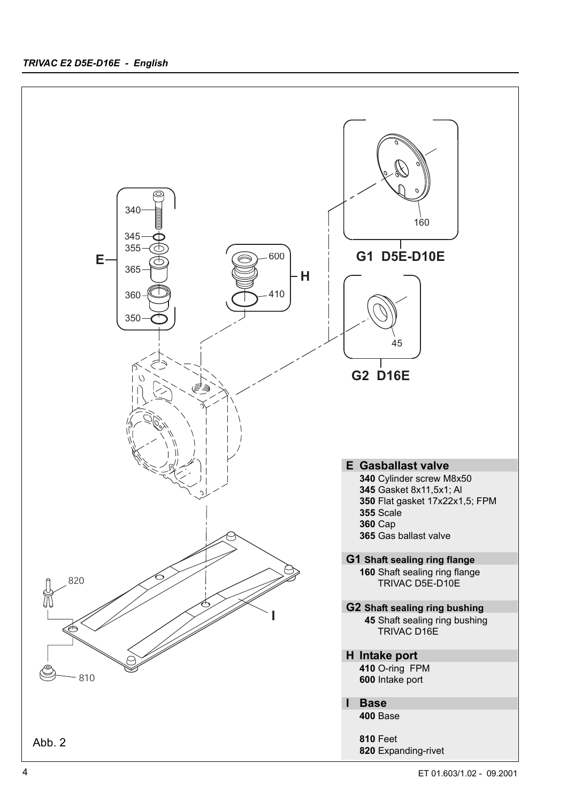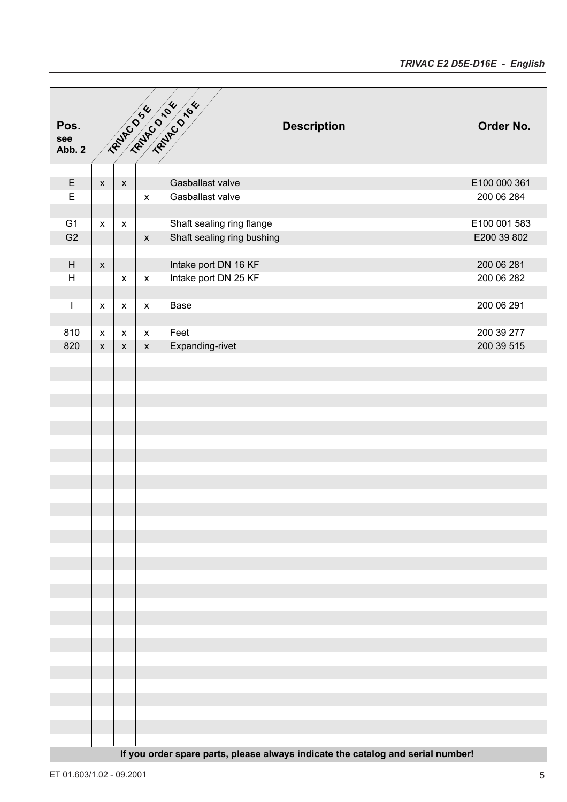| Pos.<br>see<br>Abb. 2                                                           |                    |                    |                           | <b>PENIDO 546 DE LO 1666</b><br><b>Description</b> | Order No.    |  |
|---------------------------------------------------------------------------------|--------------------|--------------------|---------------------------|----------------------------------------------------|--------------|--|
|                                                                                 |                    |                    |                           |                                                    |              |  |
| $\mathsf E$                                                                     | $\pmb{\mathsf{X}}$ | $\pmb{\mathsf{X}}$ |                           | Gasballast valve                                   | E100 000 361 |  |
| $\overline{\mathsf{E}}$                                                         |                    |                    | $\pmb{\mathsf{x}}$        | Gasballast valve                                   | 200 06 284   |  |
|                                                                                 |                    |                    |                           |                                                    |              |  |
| G <sub>1</sub>                                                                  | $\pmb{\mathsf{x}}$ | $\pmb{\mathsf{X}}$ |                           | Shaft sealing ring flange                          | E100 001 583 |  |
| G <sub>2</sub>                                                                  |                    |                    | $\pmb{\mathsf{x}}$        | Shaft sealing ring bushing                         | E200 39 802  |  |
| H                                                                               | $\mathsf{X}$       |                    |                           | Intake port DN 16 KF                               | 200 06 281   |  |
| H                                                                               |                    | $\pmb{\mathsf{x}}$ | $\pmb{\mathsf{X}}$        | Intake port DN 25 KF                               | 200 06 282   |  |
|                                                                                 |                    |                    |                           |                                                    |              |  |
| $\overline{\phantom{a}}$                                                        | $\pmb{\mathsf{x}}$ | $\pmb{\mathsf{x}}$ | $\pmb{\mathsf{x}}$        | Base                                               | 200 06 291   |  |
|                                                                                 |                    |                    |                           |                                                    |              |  |
| 810                                                                             | $\mathsf{x}$       | X                  | $\boldsymbol{\mathsf{X}}$ | Feet                                               | 200 39 277   |  |
| 820                                                                             | $\pmb{\mathsf{X}}$ | $\mathsf{x}$       | $\pmb{\mathsf{X}}$        | Expanding-rivet                                    | 200 39 515   |  |
|                                                                                 |                    |                    |                           |                                                    |              |  |
|                                                                                 |                    |                    |                           |                                                    |              |  |
|                                                                                 |                    |                    |                           |                                                    |              |  |
|                                                                                 |                    |                    |                           |                                                    |              |  |
|                                                                                 |                    |                    |                           |                                                    |              |  |
|                                                                                 |                    |                    |                           |                                                    |              |  |
|                                                                                 |                    |                    |                           |                                                    |              |  |
|                                                                                 |                    |                    |                           |                                                    |              |  |
|                                                                                 |                    |                    |                           |                                                    |              |  |
|                                                                                 |                    |                    |                           |                                                    |              |  |
|                                                                                 |                    |                    |                           |                                                    |              |  |
|                                                                                 |                    |                    |                           |                                                    |              |  |
|                                                                                 |                    |                    |                           |                                                    |              |  |
|                                                                                 |                    |                    |                           |                                                    |              |  |
|                                                                                 |                    |                    |                           |                                                    |              |  |
|                                                                                 |                    |                    |                           |                                                    |              |  |
|                                                                                 |                    |                    |                           |                                                    |              |  |
|                                                                                 |                    |                    |                           |                                                    |              |  |
|                                                                                 |                    |                    |                           |                                                    |              |  |
|                                                                                 |                    |                    |                           |                                                    |              |  |
|                                                                                 |                    |                    |                           |                                                    |              |  |
|                                                                                 |                    |                    |                           |                                                    |              |  |
|                                                                                 |                    |                    |                           |                                                    |              |  |
|                                                                                 |                    |                    |                           |                                                    |              |  |
|                                                                                 |                    |                    |                           |                                                    |              |  |
| If you order spare parts, please always indicate the catalog and serial number! |                    |                    |                           |                                                    |              |  |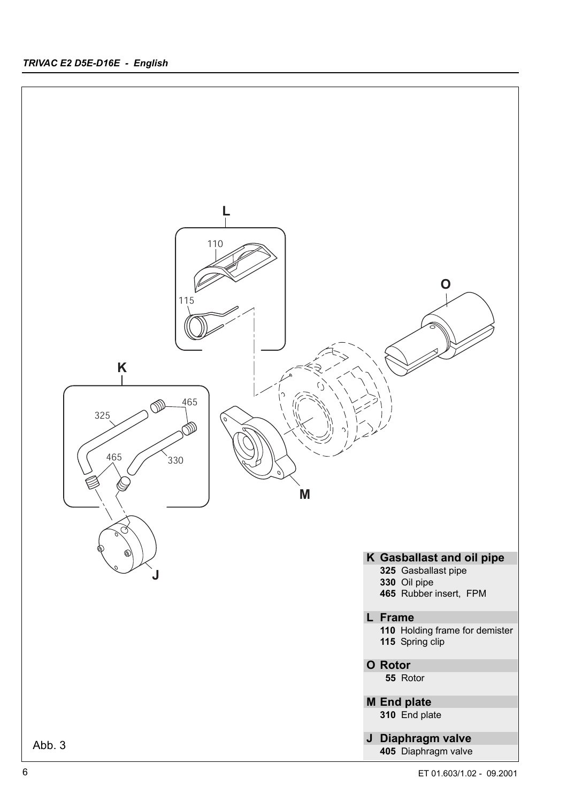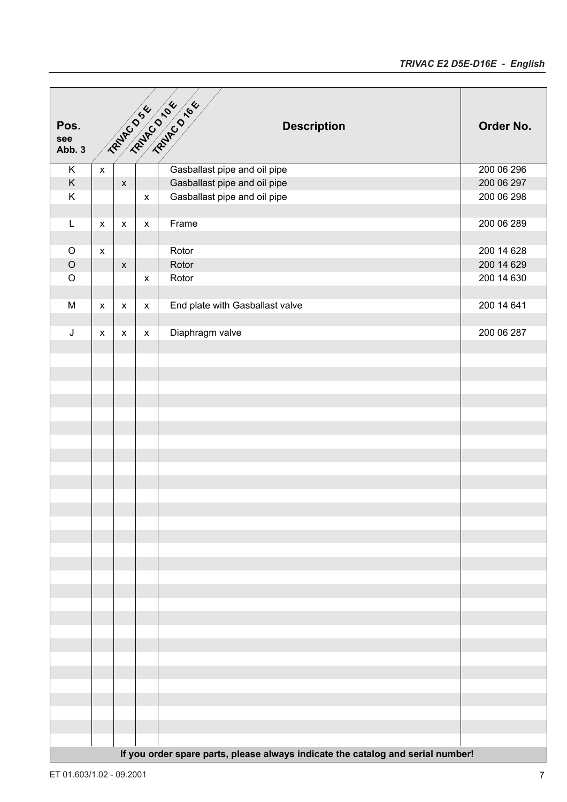| Pos.<br>see             |                                                                                 |                    |                    | <b>FROME DISCRIPTION ASSAULTS</b><br><b>Description</b> | Order No.  |  |
|-------------------------|---------------------------------------------------------------------------------|--------------------|--------------------|---------------------------------------------------------|------------|--|
| Abb. 3                  |                                                                                 |                    |                    |                                                         |            |  |
| $\overline{\mathsf{K}}$ | $\pmb{\mathsf{X}}$                                                              |                    |                    | Gasballast pipe and oil pipe                            | 200 06 296 |  |
| $\mathsf K$             |                                                                                 | $\pmb{\mathsf{x}}$ |                    | Gasballast pipe and oil pipe                            | 200 06 297 |  |
| $\overline{\mathsf{K}}$ |                                                                                 |                    | $\pmb{\mathsf{x}}$ | Gasballast pipe and oil pipe                            | 200 06 298 |  |
|                         |                                                                                 |                    |                    |                                                         |            |  |
| $\mathsf{L}$            | $\pmb{\mathsf{X}}$                                                              | X                  | $\pmb{\mathsf{X}}$ | Frame                                                   | 200 06 289 |  |
|                         |                                                                                 |                    |                    |                                                         |            |  |
| $\mathsf O$             | $\pmb{\mathsf{x}}$                                                              |                    |                    | Rotor                                                   | 200 14 628 |  |
| $\mathsf O$             |                                                                                 | $\pmb{\mathsf{x}}$ |                    | Rotor                                                   | 200 14 629 |  |
| $\mathsf O$             |                                                                                 |                    | $\pmb{\mathsf{X}}$ | Rotor                                                   | 200 14 630 |  |
|                         |                                                                                 |                    |                    |                                                         |            |  |
| ${\sf M}$               | $\pmb{\mathsf{X}}$                                                              | $\pmb{\mathsf{x}}$ | $\pmb{\mathsf{x}}$ | End plate with Gasballast valve                         | 200 14 641 |  |
|                         |                                                                                 |                    |                    |                                                         |            |  |
| $\sf J$                 | X                                                                               | X                  | $\pmb{\mathsf{X}}$ | Diaphragm valve                                         | 200 06 287 |  |
|                         |                                                                                 |                    |                    |                                                         |            |  |
|                         |                                                                                 |                    |                    |                                                         |            |  |
|                         |                                                                                 |                    |                    |                                                         |            |  |
|                         |                                                                                 |                    |                    |                                                         |            |  |
|                         |                                                                                 |                    |                    |                                                         |            |  |
|                         |                                                                                 |                    |                    |                                                         |            |  |
|                         |                                                                                 |                    |                    |                                                         |            |  |
|                         |                                                                                 |                    |                    |                                                         |            |  |
|                         |                                                                                 |                    |                    |                                                         |            |  |
|                         |                                                                                 |                    |                    |                                                         |            |  |
|                         |                                                                                 |                    |                    |                                                         |            |  |
|                         |                                                                                 |                    |                    |                                                         |            |  |
|                         |                                                                                 |                    |                    |                                                         |            |  |
|                         |                                                                                 |                    |                    |                                                         |            |  |
|                         |                                                                                 |                    |                    |                                                         |            |  |
|                         |                                                                                 |                    |                    |                                                         |            |  |
|                         |                                                                                 |                    |                    |                                                         |            |  |
|                         |                                                                                 |                    |                    |                                                         |            |  |
|                         |                                                                                 |                    |                    |                                                         |            |  |
|                         |                                                                                 |                    |                    |                                                         |            |  |
|                         |                                                                                 |                    |                    |                                                         |            |  |
|                         |                                                                                 |                    |                    |                                                         |            |  |
|                         |                                                                                 |                    |                    |                                                         |            |  |
|                         |                                                                                 |                    |                    |                                                         |            |  |
|                         |                                                                                 |                    |                    |                                                         |            |  |
|                         |                                                                                 |                    |                    |                                                         |            |  |
|                         |                                                                                 |                    |                    |                                                         |            |  |
|                         |                                                                                 |                    |                    |                                                         |            |  |
|                         |                                                                                 |                    |                    |                                                         |            |  |
|                         | If you order spare parts, please always indicate the catalog and serial number! |                    |                    |                                                         |            |  |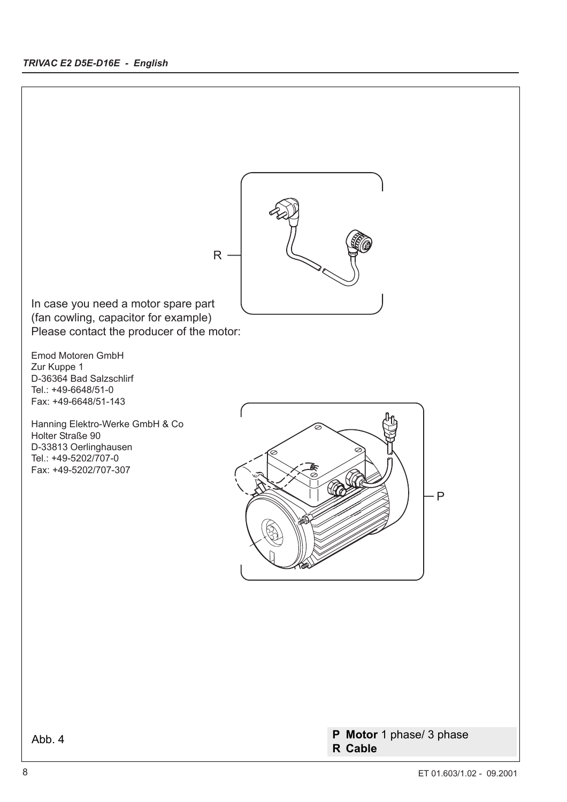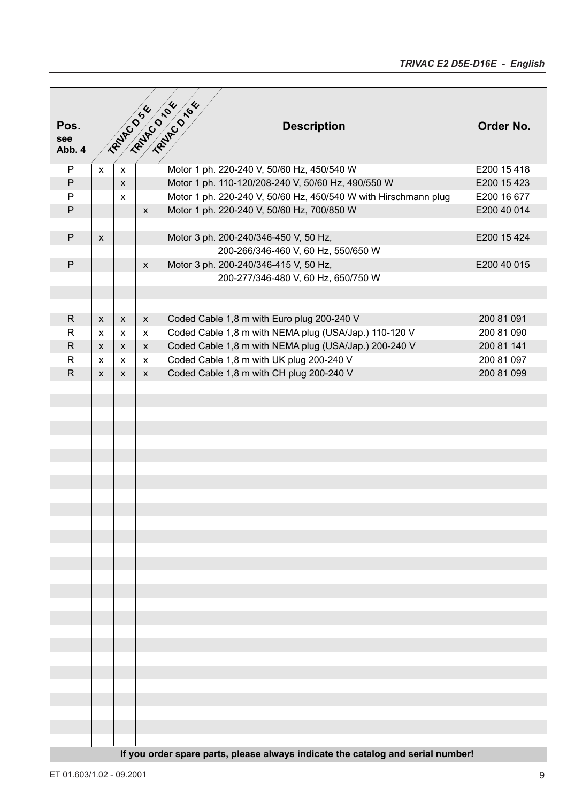|              |              |              |                    | TRAINED 104 / 164                                                               |             |
|--------------|--------------|--------------|--------------------|---------------------------------------------------------------------------------|-------------|
|              |              |              | TRAINED 54         |                                                                                 |             |
| Pos.<br>see  |              |              |                    | <b>Description</b>                                                              | Order No.   |
| Abb. 4       |              |              |                    |                                                                                 |             |
| P            | $\mathsf{x}$ | $\mathsf{x}$ |                    | Motor 1 ph. 220-240 V, 50/60 Hz, 450/540 W                                      | E200 15 418 |
| $\mathsf{P}$ |              | $\mathsf{x}$ |                    | Motor 1 ph. 110-120/208-240 V, 50/60 Hz, 490/550 W                              | E200 15 423 |
| $\mathsf{P}$ |              | $\mathsf{x}$ |                    | Motor 1 ph. 220-240 V, 50/60 Hz, 450/540 W with Hirschmann plug                 | E200 16 677 |
| $\mathsf{P}$ |              |              | $\pmb{\mathsf{X}}$ | Motor 1 ph. 220-240 V, 50/60 Hz, 700/850 W                                      | E200 40 014 |
|              |              |              |                    |                                                                                 |             |
| $\mathsf{P}$ | X            |              |                    | Motor 3 ph. 200-240/346-450 V, 50 Hz,                                           | E200 15 424 |
|              |              |              |                    | 200-266/346-460 V, 60 Hz, 550/650 W                                             |             |
| $\mathsf{P}$ |              |              | X                  | Motor 3 ph. 200-240/346-415 V, 50 Hz,                                           | E200 40 015 |
|              |              |              |                    | 200-277/346-480 V, 60 Hz, 650/750 W                                             |             |
|              |              |              |                    |                                                                                 |             |
|              |              |              |                    |                                                                                 |             |
| $\mathsf{R}$ | $\mathsf{x}$ | X            | $\mathsf{x}$       | Coded Cable 1,8 m with Euro plug 200-240 V                                      | 200 81 091  |
| $\mathsf{R}$ | X            | X            | X                  | Coded Cable 1,8 m with NEMA plug (USA/Jap.) 110-120 V                           | 200 81 090  |
| $\mathsf{R}$ | $\mathsf{X}$ | X            | $\mathsf{x}$       | Coded Cable 1,8 m with NEMA plug (USA/Jap.) 200-240 V                           | 200 81 141  |
| $\mathsf{R}$ | $\mathsf{x}$ | $\mathsf{x}$ | $\mathsf{x}$       | Coded Cable 1,8 m with UK plug 200-240 V                                        | 200 81 097  |
| $\mathsf{R}$ | $\mathsf{x}$ | $\mathsf{x}$ | $\mathsf{x}$       | Coded Cable 1,8 m with CH plug 200-240 V                                        | 200 81 099  |
|              |              |              |                    |                                                                                 |             |
|              |              |              |                    |                                                                                 |             |
|              |              |              |                    |                                                                                 |             |
|              |              |              |                    |                                                                                 |             |
|              |              |              |                    |                                                                                 |             |
|              |              |              |                    |                                                                                 |             |
|              |              |              |                    |                                                                                 |             |
|              |              |              |                    |                                                                                 |             |
|              |              |              |                    |                                                                                 |             |
|              |              |              |                    |                                                                                 |             |
|              |              |              |                    |                                                                                 |             |
|              |              |              |                    |                                                                                 |             |
|              |              |              |                    |                                                                                 |             |
|              |              |              |                    |                                                                                 |             |
|              |              |              |                    |                                                                                 |             |
|              |              |              |                    |                                                                                 |             |
|              |              |              |                    |                                                                                 |             |
|              |              |              |                    |                                                                                 |             |
|              |              |              |                    |                                                                                 |             |
|              |              |              |                    |                                                                                 |             |
|              |              |              |                    |                                                                                 |             |
|              |              |              |                    |                                                                                 |             |
|              |              |              |                    |                                                                                 |             |
|              |              |              |                    |                                                                                 |             |
|              |              |              |                    |                                                                                 |             |
|              |              |              |                    |                                                                                 |             |
|              |              |              |                    |                                                                                 |             |
|              |              |              |                    | If you order spare parts, please always indicate the catalog and serial number! |             |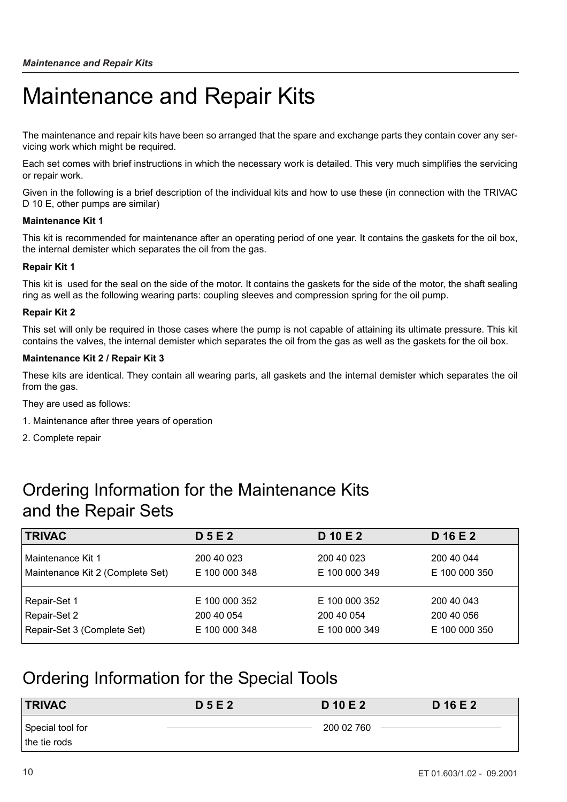# Maintenance and Repair Kits

The maintenance and repair kits have been so arranged that the spare and exchange parts they contain cover any servicing work which might be required.

Each set comes with brief instructions in which the necessary work is detailed. This very much simplifies the servicing or repair work.

Given in the following is a brief description of the individual kits and how to use these (in connection with the TRIVAC D 10 E, other pumps are similar)

### **Maintenance Kit 1**

This kit is recommended for maintenance after an operating period of one year. It contains the gaskets for the oil box, the internal demister which separates the oil from the gas.

### **Repair Kit 1**

This kit is used for the seal on the side of the motor. It contains the gaskets for the side of the motor, the shaft sealing ring as well as the following wearing parts: coupling sleeves and compression spring for the oil pump.

### **Repair Kit 2**

This set will only be required in those cases where the pump is not capable of attaining its ultimate pressure. This kit contains the valves, the internal demister which separates the oil from the gas as well as the gaskets for the oil box.

### **Maintenance Kit 2 / Repair Kit 3**

These kits are identical. They contain all wearing parts, all gaskets and the internal demister which separates the oil from the gas.

They are used as follows:

- 1. Maintenance after three years of operation
- 2. Complete repair

## Ordering Information for the Maintenance Kits and the Repair Sets

| <b>TRIVAC</b>                    | <b>D5E2</b>   | D 10 E 2      | D 16 E 2      |
|----------------------------------|---------------|---------------|---------------|
| Maintenance Kit 1                | 200 40 023    | 200 40 023    | 200 40 044    |
| Maintenance Kit 2 (Complete Set) | E 100 000 348 | E 100 000 349 | E 100 000 350 |
| Repair-Set 1                     | E 100 000 352 | E 100 000 352 | 200 40 043    |
| Repair-Set 2                     | 200 40 054    | 200 40 054    | 200 40 056    |
| Repair-Set 3 (Complete Set)      | E 100 000 348 | E 100 000 349 | E 100 000 350 |

## Ordering Information for the Special Tools

| <b>TRIVAC</b>    | <b>D5E2</b> | D 10 E 2   | D 16 E 2 |
|------------------|-------------|------------|----------|
| Special tool for |             | 200 02 760 |          |
| the tie rods     |             |            |          |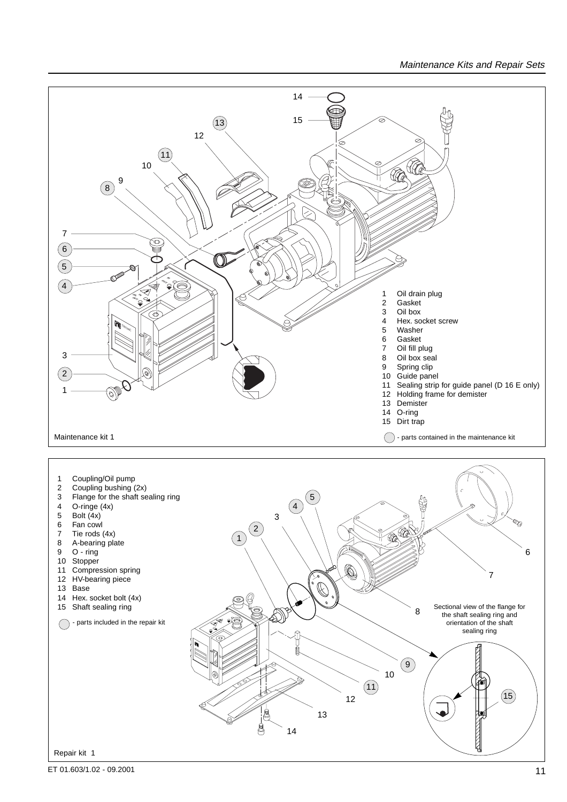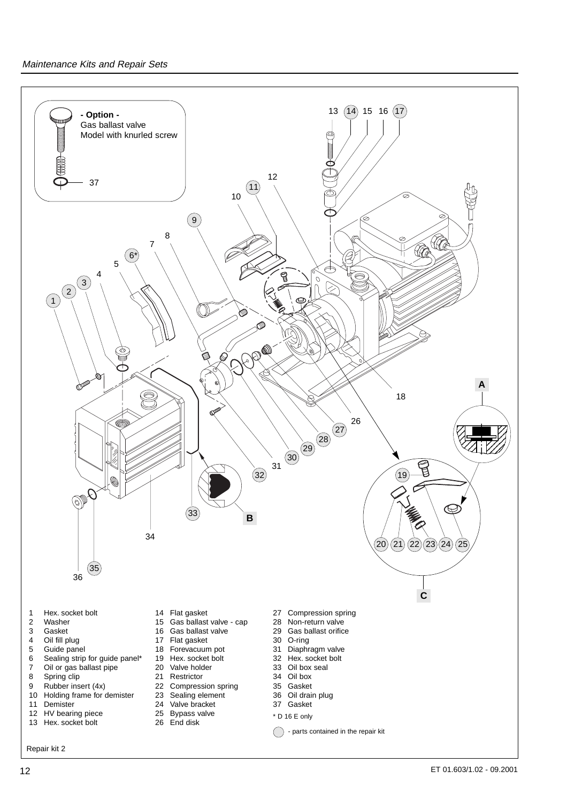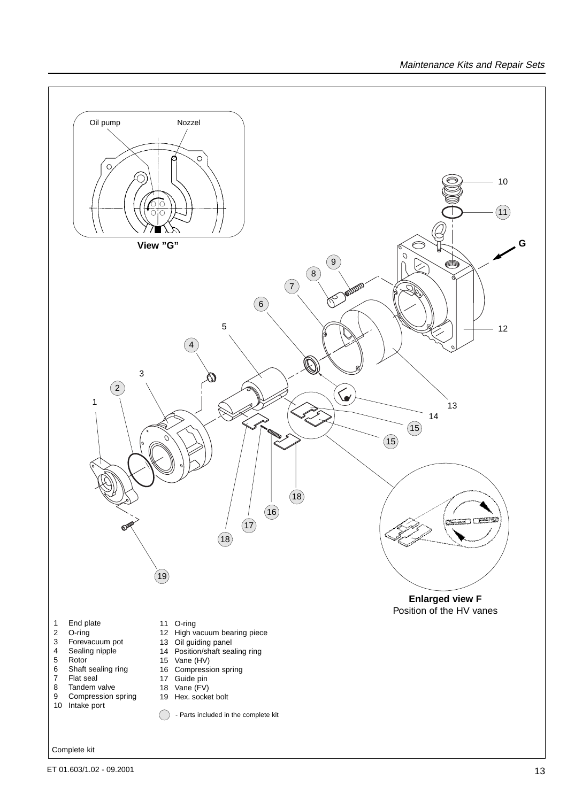

ET 01.603/1.02 - 09.2001 13